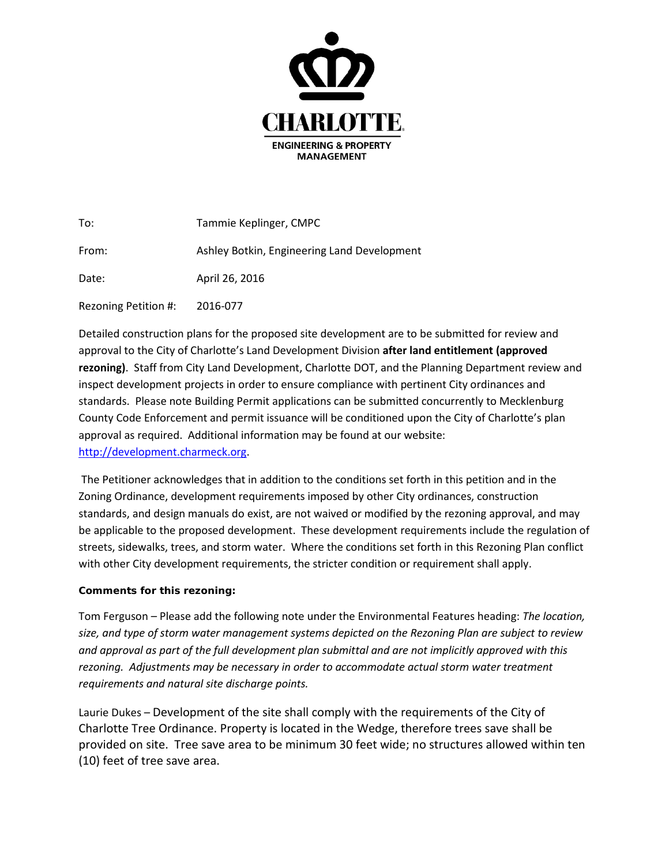

| To:                  | Tammie Keplinger, CMPC                      |
|----------------------|---------------------------------------------|
| From:                | Ashley Botkin, Engineering Land Development |
| Date:                | April 26, 2016                              |
| Rezoning Petition #: | 2016-077                                    |

Detailed construction plans for the proposed site development are to be submitted for review and approval to the City of Charlotte's Land Development Division **after land entitlement (approved rezoning)**. Staff from City Land Development, Charlotte DOT, and the Planning Department review and inspect development projects in order to ensure compliance with pertinent City ordinances and standards. Please note Building Permit applications can be submitted concurrently to Mecklenburg County Code Enforcement and permit issuance will be conditioned upon the City of Charlotte's plan approval as required. Additional information may be found at our website: [http://development.charmeck.org.](http://development.charmeck.org/)

The Petitioner acknowledges that in addition to the conditions set forth in this petition and in the Zoning Ordinance, development requirements imposed by other City ordinances, construction standards, and design manuals do exist, are not waived or modified by the rezoning approval, and may be applicable to the proposed development. These development requirements include the regulation of streets, sidewalks, trees, and storm water. Where the conditions set forth in this Rezoning Plan conflict with other City development requirements, the stricter condition or requirement shall apply.

## **Comments for this rezoning:**

Tom Ferguson – Please add the following note under the Environmental Features heading: *The location, size, and type of storm water management systems depicted on the Rezoning Plan are subject to review and approval as part of the full development plan submittal and are not implicitly approved with this rezoning. Adjustments may be necessary in order to accommodate actual storm water treatment requirements and natural site discharge points.*

Laurie Dukes – Development of the site shall comply with the requirements of the City of Charlotte Tree Ordinance. Property is located in the Wedge, therefore trees save shall be provided on site. Tree save area to be minimum 30 feet wide; no structures allowed within ten (10) feet of tree save area.